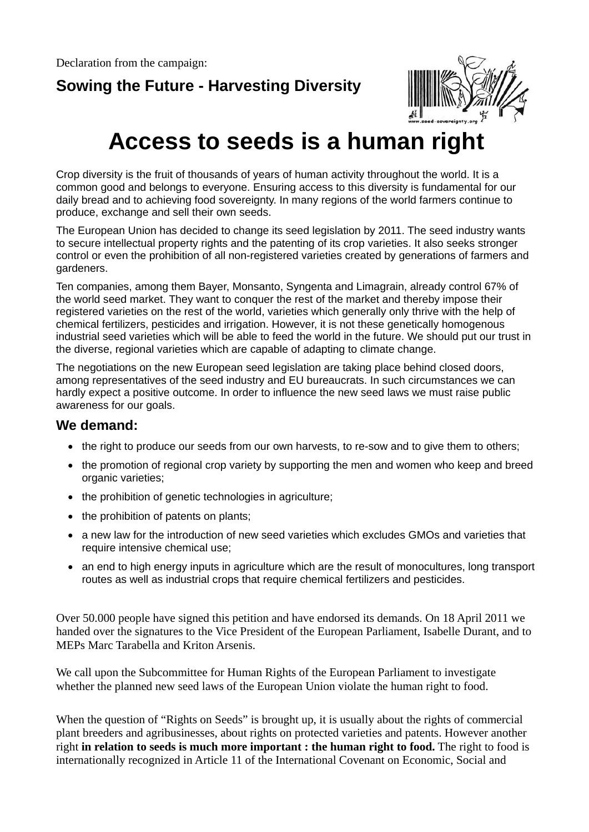## **Sowing the Future - Harvesting Diversity**



## **Access to seeds is a human right**

Crop diversity is the fruit of thousands of years of human activity throughout the world. It is a common good and belongs to everyone. Ensuring access to this diversity is fundamental for our daily bread and to achieving food sovereignty. In many regions of the world farmers continue to produce, exchange and sell their own seeds.

The European Union has decided to change its seed legislation by 2011. The seed industry wants to secure intellectual property rights and the patenting of its crop varieties. It also seeks stronger control or even the prohibition of all non-registered varieties created by generations of farmers and gardeners.

Ten companies, among them Bayer, Monsanto, Syngenta and Limagrain, already control 67% of the world seed market. They want to conquer the rest of the market and thereby impose their registered varieties on the rest of the world, varieties which generally only thrive with the help of chemical fertilizers, pesticides and irrigation. However, it is not these genetically homogenous industrial seed varieties which will be able to feed the world in the future. We should put our trust in the diverse, regional varieties which are capable of adapting to climate change.

The negotiations on the new European seed legislation are taking place behind closed doors, among representatives of the seed industry and EU bureaucrats. In such circumstances we can hardly expect a positive outcome. In order to influence the new seed laws we must raise public awareness for our goals.

## **We demand:**

- the right to produce our seeds from our own harvests, to re-sow and to give them to others;
- the promotion of regional crop variety by supporting the men and women who keep and breed organic varieties;
- the prohibition of genetic technologies in agriculture;
- the prohibition of patents on plants;
- a new law for the introduction of new seed varieties which excludes GMOs and varieties that require intensive chemical use;
- an end to high energy inputs in agriculture which are the result of monocultures, long transport routes as well as industrial crops that require chemical fertilizers and pesticides.

Over 50.000 people have signed this petition and have endorsed its demands. On 18 April 2011 we handed over the signatures to the Vice President of the European Parliament, Isabelle Durant, and to MEPs Marc Tarabella and Kriton Arsenis.

We call upon the Subcommittee for Human Rights of the European Parliament to investigate whether the planned new seed laws of the European Union violate the human right to food.

When the question of "Rights on Seeds" is brought up, it is usually about the rights of commercial plant breeders and agribusinesses, about rights on protected varieties and patents. However another right **in relation to seeds is much more important : the human right to food.** The right to food is internationally recognized in Article 11 of the International Covenant on Economic, Social and